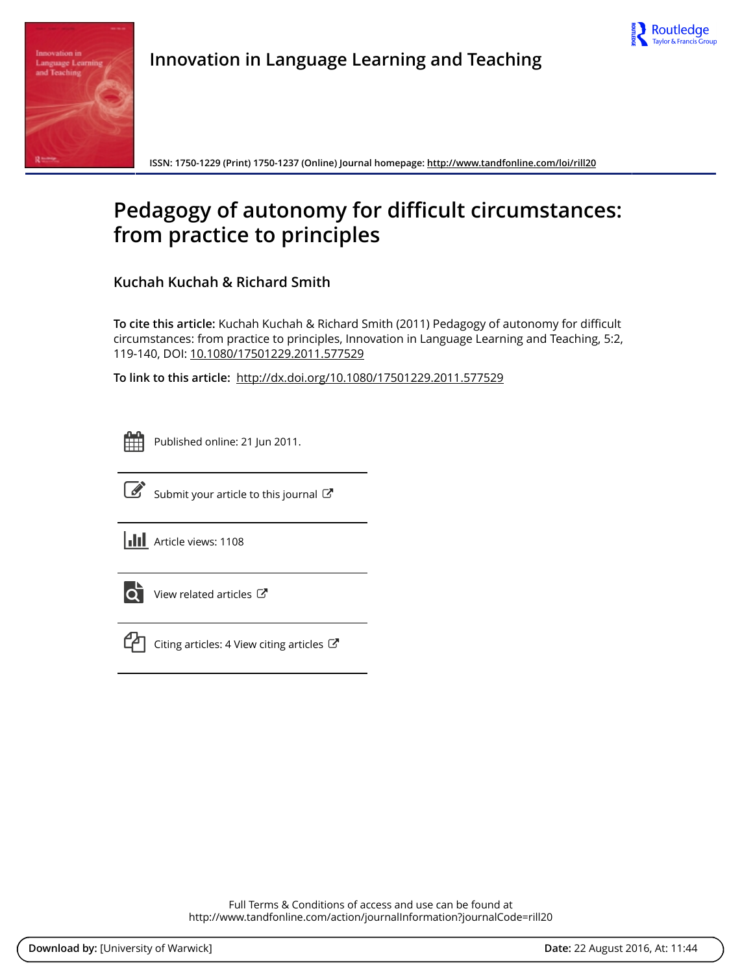



**Innovation in Language Learning and Teaching**

**ISSN: 1750-1229 (Print) 1750-1237 (Online) Journal homepage:<http://www.tandfonline.com/loi/rill20>**

# **Pedagogy of autonomy for difficult circumstances: from practice to principles**

**Kuchah Kuchah & Richard Smith**

**To cite this article:** Kuchah Kuchah & Richard Smith (2011) Pedagogy of autonomy for difficult circumstances: from practice to principles, Innovation in Language Learning and Teaching, 5:2, 119-140, DOI: [10.1080/17501229.2011.577529](http://www.tandfonline.com/action/showCitFormats?doi=10.1080/17501229.2011.577529)

**To link to this article:** <http://dx.doi.org/10.1080/17501229.2011.577529>

Published online: 21 Jun 2011.



 $\overline{\mathscr{L}}$  [Submit your article to this journal](http://www.tandfonline.com/action/authorSubmission?journalCode=rill20&show=instructions)  $\mathbb{Z}$ 

**III** Article views: 1108



 $\overrightarrow{Q}$  [View related articles](http://www.tandfonline.com/doi/mlt/10.1080/17501229.2011.577529)  $\overrightarrow{C}$ 



[Citing articles: 4 View citing articles](http://www.tandfonline.com/doi/citedby/10.1080/17501229.2011.577529#tabModule)  $\mathbb{Z}$ 

Full Terms & Conditions of access and use can be found at <http://www.tandfonline.com/action/journalInformation?journalCode=rill20>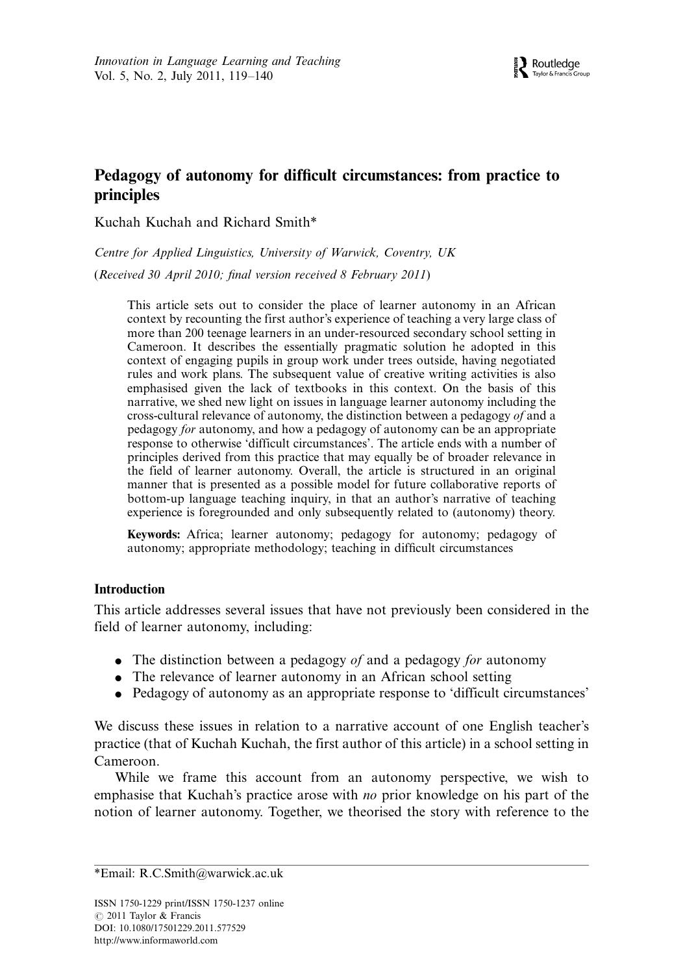# Pedagogy of autonomy for difficult circumstances: from practice to principles

Kuchah Kuchah and Richard Smith\*

Centre for Applied Linguistics, University of Warwick, Coventry, UK (Received 30 April 2010; final version received 8 February 2011)

This article sets out to consider the place of learner autonomy in an African context by recounting the first author's experience of teaching a very large class of more than 200 teenage learners in an under-resourced secondary school setting in Cameroon. It describes the essentially pragmatic solution he adopted in this context of engaging pupils in group work under trees outside, having negotiated rules and work plans. The subsequent value of creative writing activities is also emphasised given the lack of textbooks in this context. On the basis of this narrative, we shed new light on issues in language learner autonomy including the cross-cultural relevance of autonomy, the distinction between a pedagogy of and a pedagogy for autonomy, and how a pedagogy of autonomy can be an appropriate response to otherwise 'difficult circumstances'. The article ends with a number of principles derived from this practice that may equally be of broader relevance in the field of learner autonomy. Overall, the article is structured in an original manner that is presented as a possible model for future collaborative reports of bottom-up language teaching inquiry, in that an author's narrative of teaching experience is foregrounded and only subsequently related to (autonomy) theory.

Keywords: Africa; learner autonomy; pedagogy for autonomy; pedagogy of autonomy; appropriate methodology; teaching in difficult circumstances

# Introduction

This article addresses several issues that have not previously been considered in the field of learner autonomy, including:

- $\bullet$  The distinction between a pedagogy of and a pedagogy for autonomy
- The relevance of learner autonomy in an African school setting
- Pedagogy of autonomy as an appropriate response to 'difficult circumstances'

We discuss these issues in relation to a narrative account of one English teacher's practice (that of Kuchah Kuchah, the first author of this article) in a school setting in Cameroon.

While we frame this account from an autonomy perspective, we wish to emphasise that Kuchah's practice arose with no prior knowledge on his part of the notion of learner autonomy. Together, we theorised the story with reference to the

<sup>\*</sup>Email: R.C.Smith@warwick.ac.uk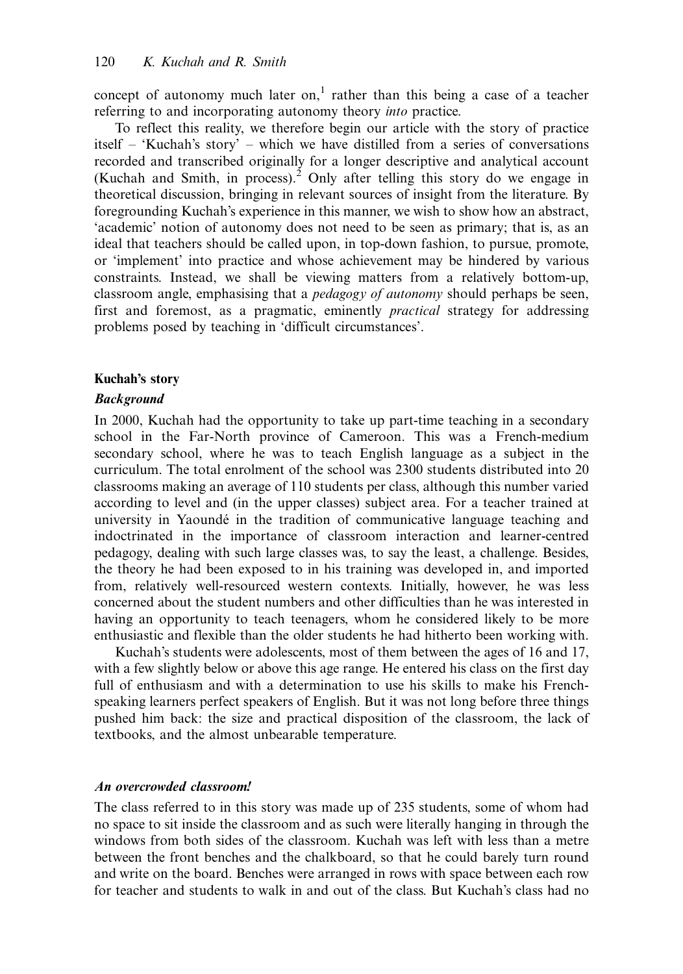concept of autonomy much later on, $<sup>1</sup>$  rather than this being a case of a teacher</sup> referring to and incorporating autonomy theory into practice.

To reflect this reality, we therefore begin our article with the story of practice itself  $-$  'Kuchah's story'  $-$  which we have distilled from a series of conversations recorded and transcribed originally for a longer descriptive and analytical account (Kuchah and Smith, in process).<sup>2</sup> Only after telling this story do we engage in theoretical discussion, bringing in relevant sources of insight from the literature. By foregrounding Kuchah's experience in this manner, we wish to show how an abstract, 'academic' notion of autonomy does not need to be seen as primary; that is, as an ideal that teachers should be called upon, in top-down fashion, to pursue, promote, or 'implement' into practice and whose achievement may be hindered by various constraints. Instead, we shall be viewing matters from a relatively bottom-up, classroom angle, emphasising that a pedagogy of autonomy should perhaps be seen, first and foremost, as a pragmatic, eminently practical strategy for addressing problems posed by teaching in 'difficult circumstances'.

#### Kuchah's story

#### Background

In 2000, Kuchah had the opportunity to take up part-time teaching in a secondary school in the Far-North province of Cameroon. This was a French-medium secondary school, where he was to teach English language as a subject in the curriculum. The total enrolment of the school was 2300 students distributed into 20 classrooms making an average of 110 students per class, although this number varied according to level and (in the upper classes) subject area. For a teacher trained at university in Yaoundé in the tradition of communicative language teaching and indoctrinated in the importance of classroom interaction and learner-centred pedagogy, dealing with such large classes was, to say the least, a challenge. Besides, the theory he had been exposed to in his training was developed in, and imported from, relatively well-resourced western contexts. Initially, however, he was less concerned about the student numbers and other difficulties than he was interested in having an opportunity to teach teenagers, whom he considered likely to be more enthusiastic and flexible than the older students he had hitherto been working with.

Kuchah's students were adolescents, most of them between the ages of 16 and 17, with a few slightly below or above this age range. He entered his class on the first day full of enthusiasm and with a determination to use his skills to make his Frenchspeaking learners perfect speakers of English. But it was not long before three things pushed him back: the size and practical disposition of the classroom, the lack of textbooks, and the almost unbearable temperature.

# An overcrowded classroom!

The class referred to in this story was made up of 235 students, some of whom had no space to sit inside the classroom and as such were literally hanging in through the windows from both sides of the classroom. Kuchah was left with less than a metre between the front benches and the chalkboard, so that he could barely turn round and write on the board. Benches were arranged in rows with space between each row for teacher and students to walk in and out of the class. But Kuchah's class had no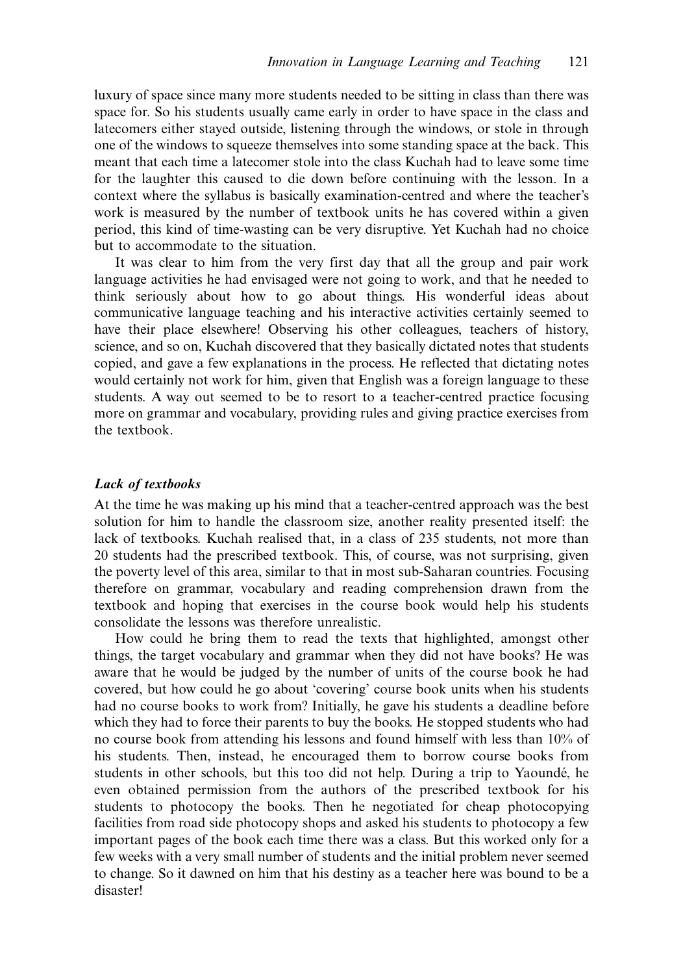luxury of space since many more students needed to be sitting in class than there was space for. So his students usually came early in order to have space in the class and latecomers either stayed outside, listening through the windows, or stole in through one of the windows to squeeze themselves into some standing space at the back. This meant that each time a latecomer stole into the class Kuchah had to leave some time for the laughter this caused to die down before continuing with the lesson. In a context where the syllabus is basically examination-centred and where the teacher's work is measured by the number of textbook units he has covered within a given period, this kind of time-wasting can be very disruptive. Yet Kuchah had no choice but to accommodate to the situation.

It was clear to him from the very first day that all the group and pair work language activities he had envisaged were not going to work, and that he needed to think seriously about how to go about things. His wonderful ideas about communicative language teaching and his interactive activities certainly seemed to have their place elsewhere! Observing his other colleagues, teachers of history, science, and so on, Kuchah discovered that they basically dictated notes that students copied, and gave a few explanations in the process. He reflected that dictating notes would certainly not work for him, given that English was a foreign language to these students. A way out seemed to be to resort to a teacher-centred practice focusing more on grammar and vocabulary, providing rules and giving practice exercises from the textbook.

# Lack of textbooks

At the time he was making up his mind that a teacher-centred approach was the best solution for him to handle the classroom size, another reality presented itself: the lack of textbooks. Kuchah realised that, in a class of 235 students, not more than 20 students had the prescribed textbook. This, of course, was not surprising, given the poverty level of this area, similar to that in most sub-Saharan countries. Focusing therefore on grammar, vocabulary and reading comprehension drawn from the textbook and hoping that exercises in the course book would help his students consolidate the lessons was therefore unrealistic.

How could he bring them to read the texts that highlighted, amongst other things, the target vocabulary and grammar when they did not have books? He was aware that he would be judged by the number of units of the course book he had covered, but how could he go about 'covering' course book units when his students had no course books to work from? Initially, he gave his students a deadline before which they had to force their parents to buy the books. He stopped students who had no course book from attending his lessons and found himself with less than 10% of his students. Then, instead, he encouraged them to borrow course books from students in other schools, but this too did not help. During a trip to Yaoundé, he even obtained permission from the authors of the prescribed textbook for his students to photocopy the books. Then he negotiated for cheap photocopying facilities from road side photocopy shops and asked his students to photocopy a few important pages of the book each time there was a class. But this worked only for a few weeks with a very small number of students and the initial problem never seemed to change. So it dawned on him that his destiny as a teacher here was bound to be a disaster!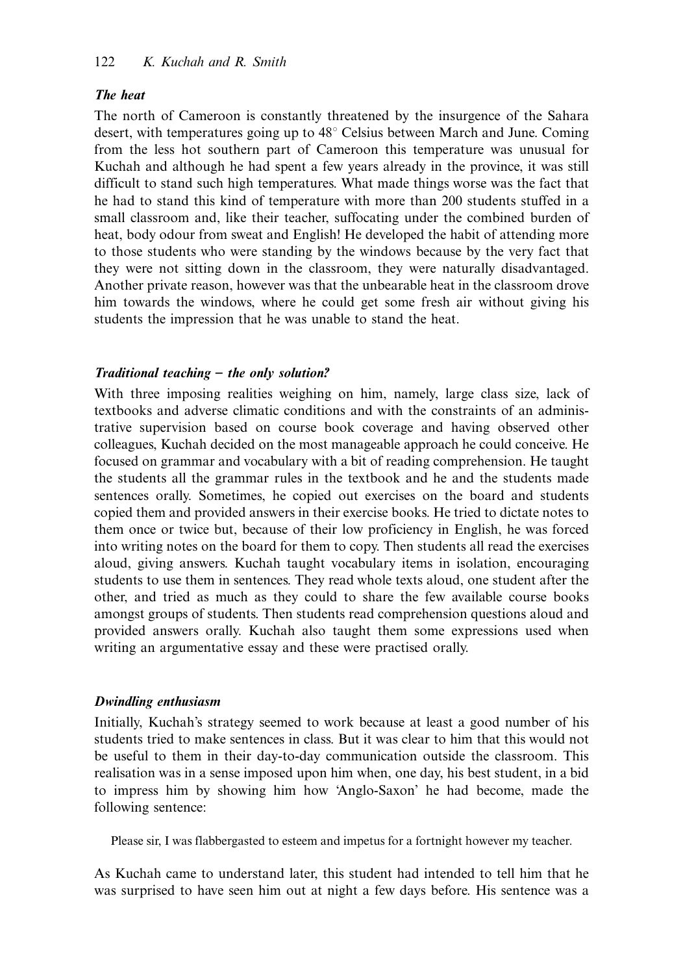# The heat

The north of Cameroon is constantly threatened by the insurgence of the Sahara desert, with temperatures going up to  $48^{\circ}$  Celsius between March and June. Coming from the less hot southern part of Cameroon this temperature was unusual for Kuchah and although he had spent a few years already in the province, it was still difficult to stand such high temperatures. What made things worse was the fact that he had to stand this kind of temperature with more than 200 students stuffed in a small classroom and, like their teacher, suffocating under the combined burden of heat, body odour from sweat and English! He developed the habit of attending more to those students who were standing by the windows because by the very fact that they were not sitting down in the classroom, they were naturally disadvantaged. Another private reason, however was that the unbearable heat in the classroom drove him towards the windows, where he could get some fresh air without giving his students the impression that he was unable to stand the heat.

# Traditional teaching  $-$  the only solution?

With three imposing realities weighing on him, namely, large class size, lack of textbooks and adverse climatic conditions and with the constraints of an administrative supervision based on course book coverage and having observed other colleagues, Kuchah decided on the most manageable approach he could conceive. He focused on grammar and vocabulary with a bit of reading comprehension. He taught the students all the grammar rules in the textbook and he and the students made sentences orally. Sometimes, he copied out exercises on the board and students copied them and provided answers in their exercise books. He tried to dictate notes to them once or twice but, because of their low proficiency in English, he was forced into writing notes on the board for them to copy. Then students all read the exercises aloud, giving answers. Kuchah taught vocabulary items in isolation, encouraging students to use them in sentences. They read whole texts aloud, one student after the other, and tried as much as they could to share the few available course books amongst groups of students. Then students read comprehension questions aloud and provided answers orally. Kuchah also taught them some expressions used when writing an argumentative essay and these were practised orally.

# Dwindling enthusiasm

Initially, Kuchah's strategy seemed to work because at least a good number of his students tried to make sentences in class. But it was clear to him that this would not be useful to them in their day-to-day communication outside the classroom. This realisation was in a sense imposed upon him when, one day, his best student, in a bid to impress him by showing him how 'Anglo-Saxon' he had become, made the following sentence:

Please sir, I was flabbergasted to esteem and impetus for a fortnight however my teacher.

As Kuchah came to understand later, this student had intended to tell him that he was surprised to have seen him out at night a few days before. His sentence was a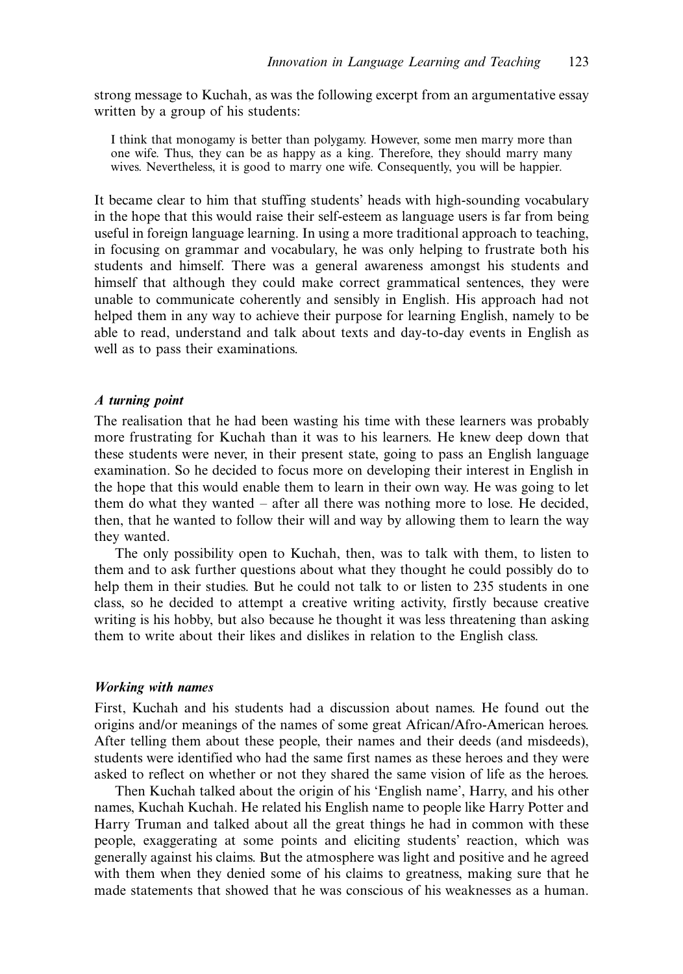strong message to Kuchah, as was the following excerpt from an argumentative essay written by a group of his students:

I think that monogamy is better than polygamy. However, some men marry more than one wife. Thus, they can be as happy as a king. Therefore, they should marry many wives. Nevertheless, it is good to marry one wife. Consequently, you will be happier.

It became clear to him that stuffing students' heads with high-sounding vocabulary in the hope that this would raise their self-esteem as language users is far from being useful in foreign language learning. In using a more traditional approach to teaching, in focusing on grammar and vocabulary, he was only helping to frustrate both his students and himself. There was a general awareness amongst his students and himself that although they could make correct grammatical sentences, they were unable to communicate coherently and sensibly in English. His approach had not helped them in any way to achieve their purpose for learning English, namely to be able to read, understand and talk about texts and day-to-day events in English as well as to pass their examinations.

#### A turning point

The realisation that he had been wasting his time with these learners was probably more frustrating for Kuchah than it was to his learners. He knew deep down that these students were never, in their present state, going to pass an English language examination. So he decided to focus more on developing their interest in English in the hope that this would enable them to learn in their own way. He was going to let them do what they wanted  $-$  after all there was nothing more to lose. He decided, then, that he wanted to follow their will and way by allowing them to learn the way they wanted.

The only possibility open to Kuchah, then, was to talk with them, to listen to them and to ask further questions about what they thought he could possibly do to help them in their studies. But he could not talk to or listen to 235 students in one class, so he decided to attempt a creative writing activity, firstly because creative writing is his hobby, but also because he thought it was less threatening than asking them to write about their likes and dislikes in relation to the English class.

#### Working with names

First, Kuchah and his students had a discussion about names. He found out the origins and/or meanings of the names of some great African/Afro-American heroes. After telling them about these people, their names and their deeds (and misdeeds), students were identified who had the same first names as these heroes and they were asked to reflect on whether or not they shared the same vision of life as the heroes.

Then Kuchah talked about the origin of his 'English name', Harry, and his other names, Kuchah Kuchah. He related his English name to people like Harry Potter and Harry Truman and talked about all the great things he had in common with these people, exaggerating at some points and eliciting students' reaction, which was generally against his claims. But the atmosphere was light and positive and he agreed with them when they denied some of his claims to greatness, making sure that he made statements that showed that he was conscious of his weaknesses as a human.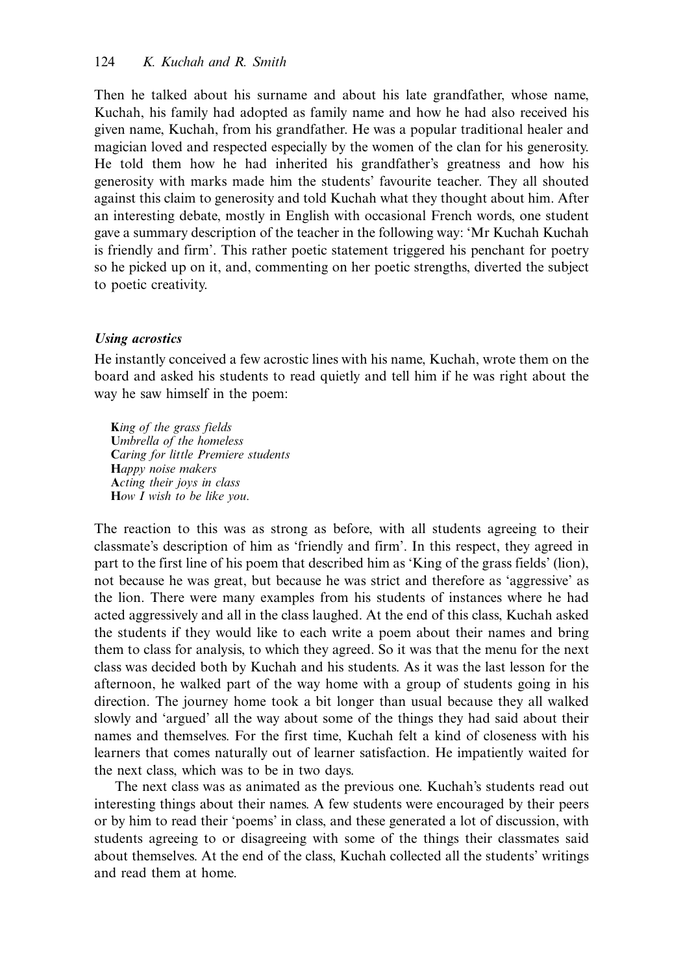Then he talked about his surname and about his late grandfather, whose name, Kuchah, his family had adopted as family name and how he had also received his given name, Kuchah, from his grandfather. He was a popular traditional healer and magician loved and respected especially by the women of the clan for his generosity. He told them how he had inherited his grandfather's greatness and how his generosity with marks made him the students' favourite teacher. They all shouted against this claim to generosity and told Kuchah what they thought about him. After an interesting debate, mostly in English with occasional French words, one student gave a summary description of the teacher in the following way: 'Mr Kuchah Kuchah is friendly and firm'. This rather poetic statement triggered his penchant for poetry so he picked up on it, and, commenting on her poetic strengths, diverted the subject to poetic creativity.

#### Using acrostics

He instantly conceived a few acrostic lines with his name, Kuchah, wrote them on the board and asked his students to read quietly and tell him if he was right about the way he saw himself in the poem:

King of the grass fields Umbrella of the homeless Caring for little Premiere students Happy noise makers Acting their joys in class How I wish to be like you.

The reaction to this was as strong as before, with all students agreeing to their classmate's description of him as 'friendly and firm'. In this respect, they agreed in part to the first line of his poem that described him as 'King of the grass fields' (lion), not because he was great, but because he was strict and therefore as 'aggressive' as the lion. There were many examples from his students of instances where he had acted aggressively and all in the class laughed. At the end of this class, Kuchah asked the students if they would like to each write a poem about their names and bring them to class for analysis, to which they agreed. So it was that the menu for the next class was decided both by Kuchah and his students. As it was the last lesson for the afternoon, he walked part of the way home with a group of students going in his direction. The journey home took a bit longer than usual because they all walked slowly and 'argued' all the way about some of the things they had said about their names and themselves. For the first time, Kuchah felt a kind of closeness with his learners that comes naturally out of learner satisfaction. He impatiently waited for the next class, which was to be in two days.

The next class was as animated as the previous one. Kuchah's students read out interesting things about their names. A few students were encouraged by their peers or by him to read their 'poems' in class, and these generated a lot of discussion, with students agreeing to or disagreeing with some of the things their classmates said about themselves. At the end of the class, Kuchah collected all the students' writings and read them at home.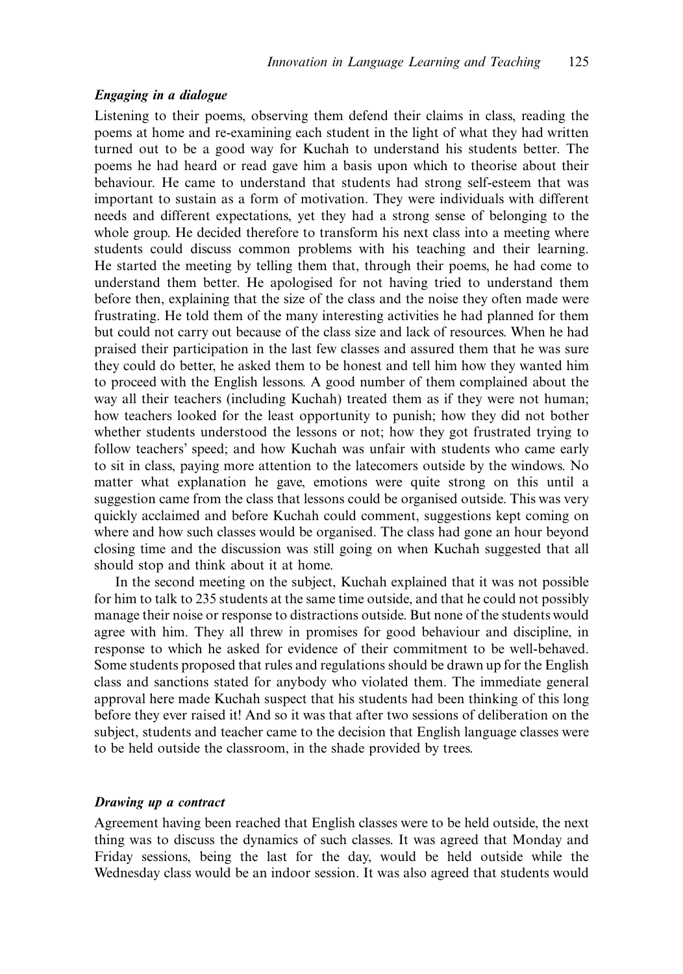# Engaging in a dialogue

Listening to their poems, observing them defend their claims in class, reading the poems at home and re-examining each student in the light of what they had written turned out to be a good way for Kuchah to understand his students better. The poems he had heard or read gave him a basis upon which to theorise about their behaviour. He came to understand that students had strong self-esteem that was important to sustain as a form of motivation. They were individuals with different needs and different expectations, yet they had a strong sense of belonging to the whole group. He decided therefore to transform his next class into a meeting where students could discuss common problems with his teaching and their learning. He started the meeting by telling them that, through their poems, he had come to understand them better. He apologised for not having tried to understand them before then, explaining that the size of the class and the noise they often made were frustrating. He told them of the many interesting activities he had planned for them but could not carry out because of the class size and lack of resources. When he had praised their participation in the last few classes and assured them that he was sure they could do better, he asked them to be honest and tell him how they wanted him to proceed with the English lessons. A good number of them complained about the way all their teachers (including Kuchah) treated them as if they were not human; how teachers looked for the least opportunity to punish; how they did not bother whether students understood the lessons or not; how they got frustrated trying to follow teachers' speed; and how Kuchah was unfair with students who came early to sit in class, paying more attention to the latecomers outside by the windows. No matter what explanation he gave, emotions were quite strong on this until a suggestion came from the class that lessons could be organised outside. This was very quickly acclaimed and before Kuchah could comment, suggestions kept coming on where and how such classes would be organised. The class had gone an hour beyond closing time and the discussion was still going on when Kuchah suggested that all should stop and think about it at home.

In the second meeting on the subject, Kuchah explained that it was not possible for him to talk to 235 students at the same time outside, and that he could not possibly manage their noise or response to distractions outside. But none of the students would agree with him. They all threw in promises for good behaviour and discipline, in response to which he asked for evidence of their commitment to be well-behaved. Some students proposed that rules and regulations should be drawn up for the English class and sanctions stated for anybody who violated them. The immediate general approval here made Kuchah suspect that his students had been thinking of this long before they ever raised it! And so it was that after two sessions of deliberation on the subject, students and teacher came to the decision that English language classes were to be held outside the classroom, in the shade provided by trees.

#### Drawing up a contract

Agreement having been reached that English classes were to be held outside, the next thing was to discuss the dynamics of such classes. It was agreed that Monday and Friday sessions, being the last for the day, would be held outside while the Wednesday class would be an indoor session. It was also agreed that students would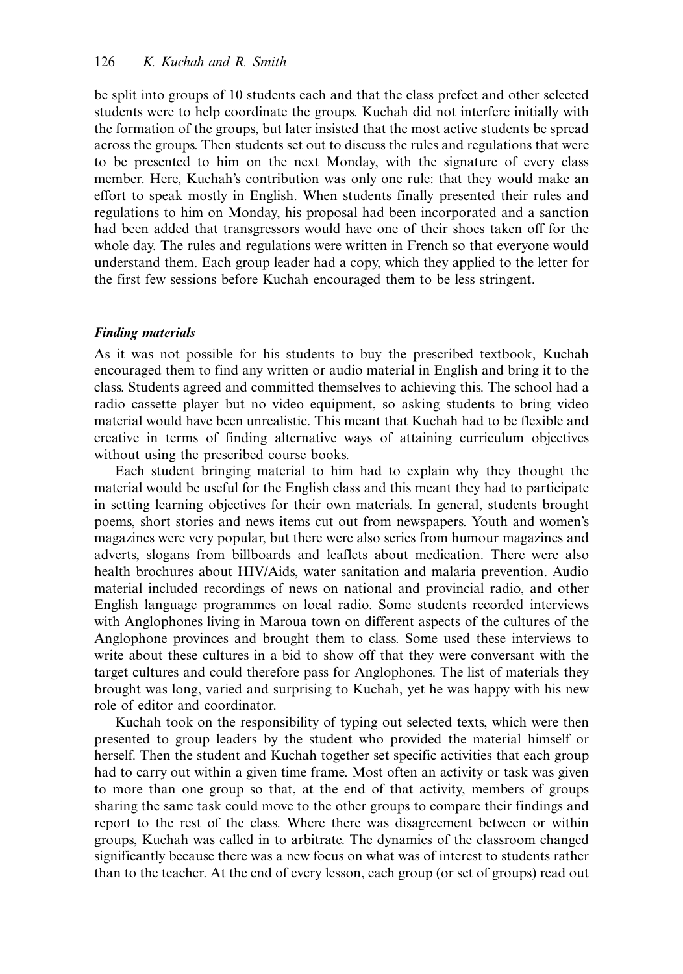be split into groups of 10 students each and that the class prefect and other selected students were to help coordinate the groups. Kuchah did not interfere initially with the formation of the groups, but later insisted that the most active students be spread across the groups. Then students set out to discuss the rules and regulations that were to be presented to him on the next Monday, with the signature of every class member. Here, Kuchah's contribution was only one rule: that they would make an effort to speak mostly in English. When students finally presented their rules and regulations to him on Monday, his proposal had been incorporated and a sanction had been added that transgressors would have one of their shoes taken off for the whole day. The rules and regulations were written in French so that everyone would understand them. Each group leader had a copy, which they applied to the letter for the first few sessions before Kuchah encouraged them to be less stringent.

# Finding materials

As it was not possible for his students to buy the prescribed textbook, Kuchah encouraged them to find any written or audio material in English and bring it to the class. Students agreed and committed themselves to achieving this. The school had a radio cassette player but no video equipment, so asking students to bring video material would have been unrealistic. This meant that Kuchah had to be flexible and creative in terms of finding alternative ways of attaining curriculum objectives without using the prescribed course books.

Each student bringing material to him had to explain why they thought the material would be useful for the English class and this meant they had to participate in setting learning objectives for their own materials. In general, students brought poems, short stories and news items cut out from newspapers. Youth and women's magazines were very popular, but there were also series from humour magazines and adverts, slogans from billboards and leaflets about medication. There were also health brochures about HIV/Aids, water sanitation and malaria prevention. Audio material included recordings of news on national and provincial radio, and other English language programmes on local radio. Some students recorded interviews with Anglophones living in Maroua town on different aspects of the cultures of the Anglophone provinces and brought them to class. Some used these interviews to write about these cultures in a bid to show off that they were conversant with the target cultures and could therefore pass for Anglophones. The list of materials they brought was long, varied and surprising to Kuchah, yet he was happy with his new role of editor and coordinator.

Kuchah took on the responsibility of typing out selected texts, which were then presented to group leaders by the student who provided the material himself or herself. Then the student and Kuchah together set specific activities that each group had to carry out within a given time frame. Most often an activity or task was given to more than one group so that, at the end of that activity, members of groups sharing the same task could move to the other groups to compare their findings and report to the rest of the class. Where there was disagreement between or within groups, Kuchah was called in to arbitrate. The dynamics of the classroom changed significantly because there was a new focus on what was of interest to students rather than to the teacher. At the end of every lesson, each group (or set of groups) read out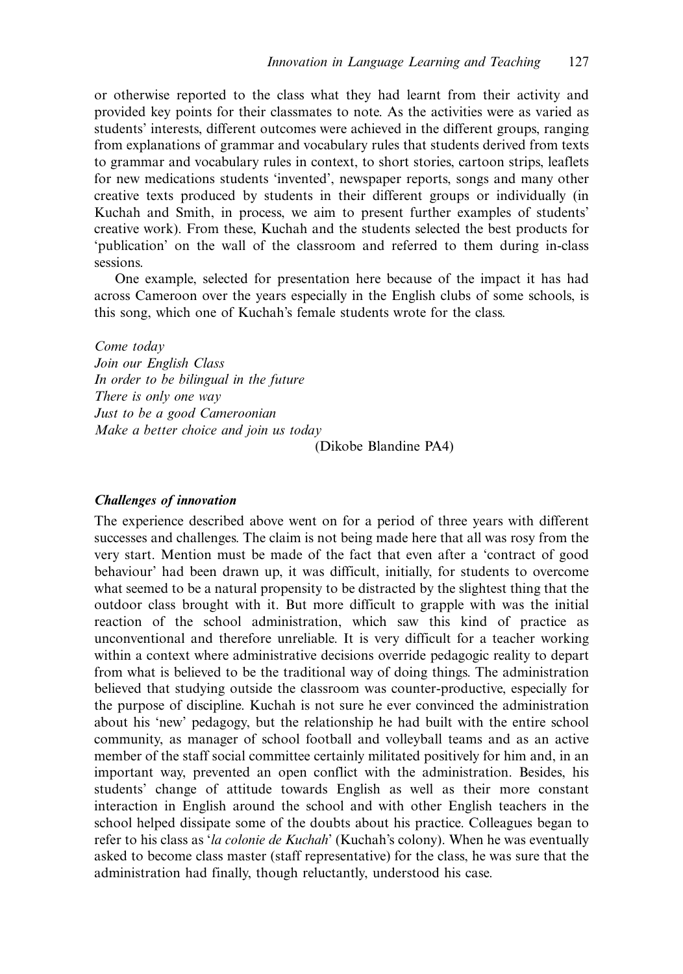or otherwise reported to the class what they had learnt from their activity and provided key points for their classmates to note. As the activities were as varied as students' interests, different outcomes were achieved in the different groups, ranging from explanations of grammar and vocabulary rules that students derived from texts to grammar and vocabulary rules in context, to short stories, cartoon strips, leaflets for new medications students 'invented', newspaper reports, songs and many other creative texts produced by students in their different groups or individually (in Kuchah and Smith, in process, we aim to present further examples of students' creative work). From these, Kuchah and the students selected the best products for 'publication' on the wall of the classroom and referred to them during in-class sessions.

One example, selected for presentation here because of the impact it has had across Cameroon over the years especially in the English clubs of some schools, is this song, which one of Kuchah's female students wrote for the class.

Come today Join our English Class In order to be bilingual in the future There is only one way Just to be a good Cameroonian Make a better choice and join us today

(Dikobe Blandine PA4)

#### Challenges of innovation

The experience described above went on for a period of three years with different successes and challenges. The claim is not being made here that all was rosy from the very start. Mention must be made of the fact that even after a 'contract of good behaviour' had been drawn up, it was difficult, initially, for students to overcome what seemed to be a natural propensity to be distracted by the slightest thing that the outdoor class brought with it. But more difficult to grapple with was the initial reaction of the school administration, which saw this kind of practice as unconventional and therefore unreliable. It is very difficult for a teacher working within a context where administrative decisions override pedagogic reality to depart from what is believed to be the traditional way of doing things. The administration believed that studying outside the classroom was counter-productive, especially for the purpose of discipline. Kuchah is not sure he ever convinced the administration about his 'new' pedagogy, but the relationship he had built with the entire school community, as manager of school football and volleyball teams and as an active member of the staff social committee certainly militated positively for him and, in an important way, prevented an open conflict with the administration. Besides, his students' change of attitude towards English as well as their more constant interaction in English around the school and with other English teachers in the school helped dissipate some of the doubts about his practice. Colleagues began to refer to his class as 'la colonie de Kuchah' (Kuchah's colony). When he was eventually asked to become class master (staff representative) for the class, he was sure that the administration had finally, though reluctantly, understood his case.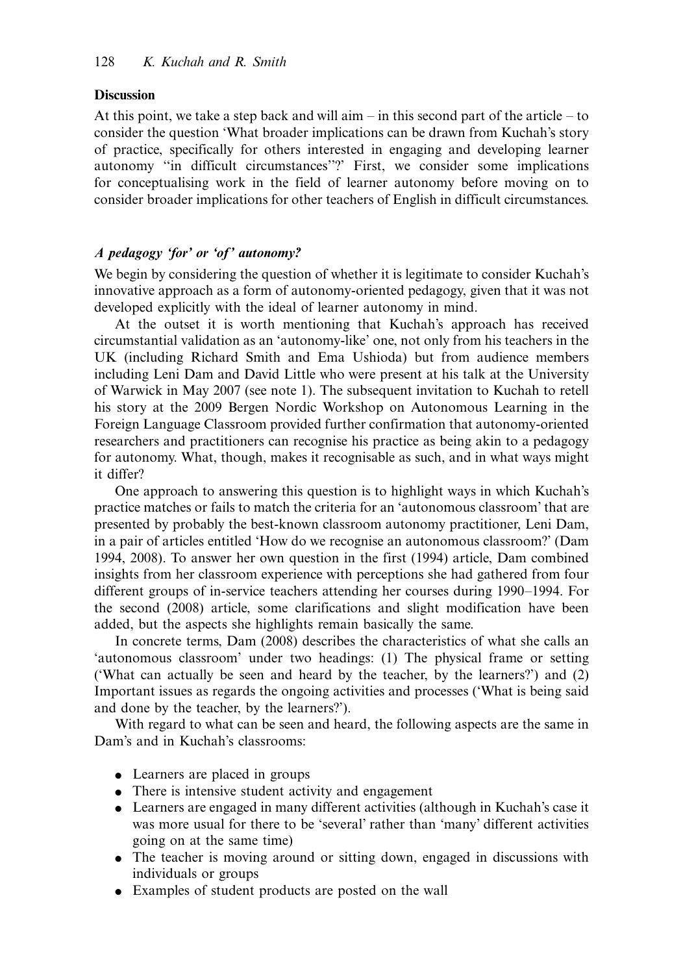#### **Discussion**

At this point, we take a step back and will aim  $-$  in this second part of the article  $-$  to consider the question 'What broader implications can be drawn from Kuchah's story of practice, specifically for others interested in engaging and developing learner autonomy ''in difficult circumstances''?' First, we consider some implications for conceptualising work in the field of learner autonomy before moving on to consider broader implications for other teachers of English in difficult circumstances.

# A pedagogy 'for' or 'of' autonomy?

We begin by considering the question of whether it is legitimate to consider Kuchah's innovative approach as a form of autonomy-oriented pedagogy, given that it was not developed explicitly with the ideal of learner autonomy in mind.

At the outset it is worth mentioning that Kuchah's approach has received circumstantial validation as an 'autonomy-like' one, not only from his teachers in the UK (including Richard Smith and Ema Ushioda) but from audience members including Leni Dam and David Little who were present at his talk at the University of Warwick in May 2007 (see note 1). The subsequent invitation to Kuchah to retell his story at the 2009 Bergen Nordic Workshop on Autonomous Learning in the Foreign Language Classroom provided further confirmation that autonomy-oriented researchers and practitioners can recognise his practice as being akin to a pedagogy for autonomy. What, though, makes it recognisable as such, and in what ways might it differ?

One approach to answering this question is to highlight ways in which Kuchah's practice matches or fails to match the criteria for an 'autonomous classroom' that are presented by probably the best-known classroom autonomy practitioner, Leni Dam, in a pair of articles entitled 'How do we recognise an autonomous classroom?' (Dam 1994, 2008). To answer her own question in the first (1994) article, Dam combined insights from her classroom experience with perceptions she had gathered from four different groups of in-service teachers attending her courses during 1990–1994. For the second (2008) article, some clarifications and slight modification have been added, but the aspects she highlights remain basically the same.

In concrete terms, Dam (2008) describes the characteristics of what she calls an 'autonomous classroom' under two headings: (1) The physical frame or setting ('What can actually be seen and heard by the teacher, by the learners?') and (2) Important issues as regards the ongoing activities and processes ('What is being said and done by the teacher, by the learners?').

With regard to what can be seen and heard, the following aspects are the same in Dam's and in Kuchah's classrooms:

- Learners are placed in groups
- There is intensive student activity and engagement
- Learners are engaged in many different activities (although in Kuchah's case it was more usual for there to be 'several' rather than 'many' different activities going on at the same time)
- The teacher is moving around or sitting down, engaged in discussions with individuals or groups
- Examples of student products are posted on the wall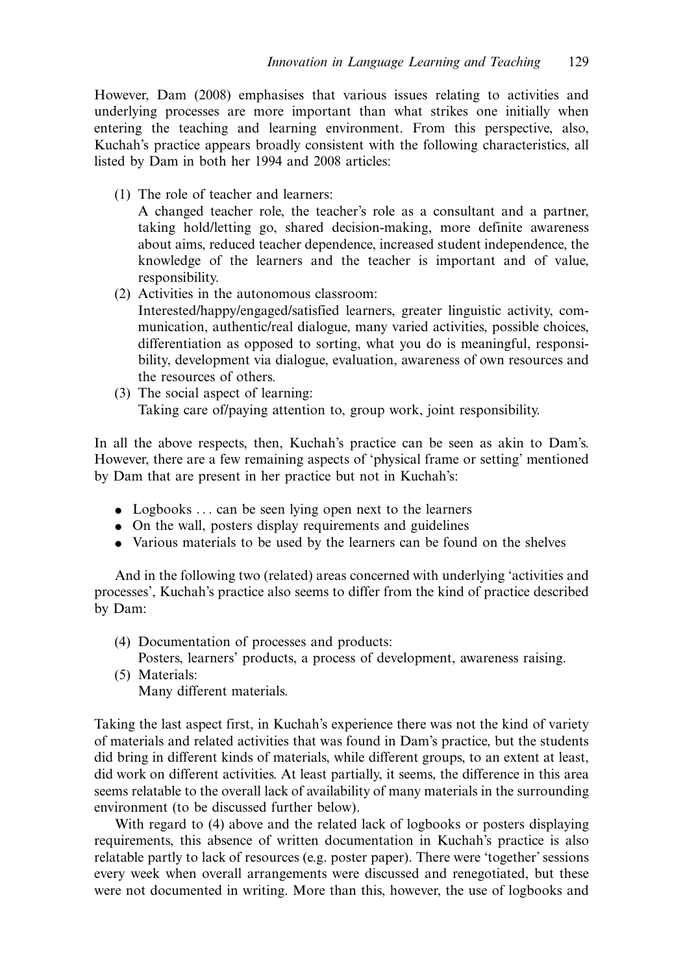However, Dam (2008) emphasises that various issues relating to activities and underlying processes are more important than what strikes one initially when entering the teaching and learning environment. From this perspective, also, Kuchah's practice appears broadly consistent with the following characteristics, all listed by Dam in both her 1994 and 2008 articles:

(1) The role of teacher and learners:

A changed teacher role, the teacher's role as a consultant and a partner, taking hold/letting go, shared decision-making, more definite awareness about aims, reduced teacher dependence, increased student independence, the knowledge of the learners and the teacher is important and of value, responsibility.

- (2) Activities in the autonomous classroom: Interested/happy/engaged/satisfied learners, greater linguistic activity, communication, authentic/real dialogue, many varied activities, possible choices, differentiation as opposed to sorting, what you do is meaningful, responsibility, development via dialogue, evaluation, awareness of own resources and the resources of others.
- (3) The social aspect of learning: Taking care of/paying attention to, group work, joint responsibility.

In all the above respects, then, Kuchah's practice can be seen as akin to Dam's. However, there are a few remaining aspects of 'physical frame or setting' mentioned by Dam that are present in her practice but not in Kuchah's:

- Logbooks ... can be seen lying open next to the learners
- On the wall, posters display requirements and guidelines
- Various materials to be used by the learners can be found on the shelves

And in the following two (related) areas concerned with underlying 'activities and processes', Kuchah's practice also seems to differ from the kind of practice described by Dam:

(4) Documentation of processes and products:

Posters, learners' products, a process of development, awareness raising.

(5) Materials: Many different materials.

Taking the last aspect first, in Kuchah's experience there was not the kind of variety of materials and related activities that was found in Dam's practice, but the students did bring in different kinds of materials, while different groups, to an extent at least, did work on different activities. At least partially, it seems, the difference in this area seems relatable to the overall lack of availability of many materials in the surrounding environment (to be discussed further below).

With regard to (4) above and the related lack of logbooks or posters displaying requirements, this absence of written documentation in Kuchah's practice is also relatable partly to lack of resources (e.g. poster paper). There were 'together' sessions every week when overall arrangements were discussed and renegotiated, but these were not documented in writing. More than this, however, the use of logbooks and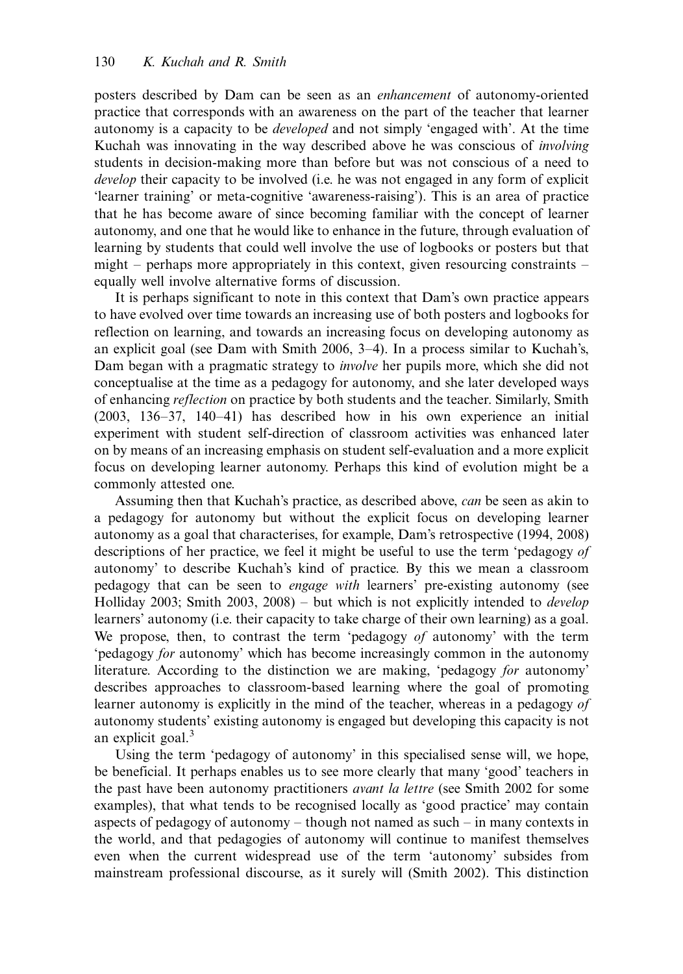posters described by Dam can be seen as an enhancement of autonomy-oriented practice that corresponds with an awareness on the part of the teacher that learner autonomy is a capacity to be developed and not simply 'engaged with'. At the time Kuchah was innovating in the way described above he was conscious of involving students in decision-making more than before but was not conscious of a need to develop their capacity to be involved (i.e. he was not engaged in any form of explicit 'learner training' or meta-cognitive 'awareness-raising'). This is an area of practice that he has become aware of since becoming familiar with the concept of learner autonomy, and one that he would like to enhance in the future, through evaluation of learning by students that could well involve the use of logbooks or posters but that might  $-$  perhaps more appropriately in this context, given resourcing constraints  $$ equally well involve alternative forms of discussion.

It is perhaps significant to note in this context that Dam's own practice appears to have evolved over time towards an increasing use of both posters and logbooks for reflection on learning, and towards an increasing focus on developing autonomy as an explicit goal (see Dam with Smith 2006,  $3-4$ ). In a process similar to Kuchah's, Dam began with a pragmatic strategy to involve her pupils more, which she did not conceptualise at the time as a pedagogy for autonomy, and she later developed ways of enhancing reflection on practice by both students and the teacher. Similarly, Smith  $(2003, 136-37, 140-41)$  has described how in his own experience an initial experiment with student self-direction of classroom activities was enhanced later on by means of an increasing emphasis on student self-evaluation and a more explicit focus on developing learner autonomy. Perhaps this kind of evolution might be a commonly attested one.

Assuming then that Kuchah's practice, as described above, can be seen as akin to a pedagogy for autonomy but without the explicit focus on developing learner autonomy as a goal that characterises, for example, Dam's retrospective (1994, 2008) descriptions of her practice, we feel it might be useful to use the term 'pedagogy of autonomy' to describe Kuchah's kind of practice. By this we mean a classroom pedagogy that can be seen to engage with learners' pre-existing autonomy (see Holliday 2003; Smith 2003, 2008) – but which is not explicitly intended to *develop* learners' autonomy (i.e. their capacity to take charge of their own learning) as a goal. We propose, then, to contrast the term 'pedagogy of autonomy' with the term 'pedagogy for autonomy' which has become increasingly common in the autonomy literature. According to the distinction we are making, 'pedagogy for autonomy' describes approaches to classroom-based learning where the goal of promoting learner autonomy is explicitly in the mind of the teacher, whereas in a pedagogy of autonomy students' existing autonomy is engaged but developing this capacity is not an explicit goal.<sup>3</sup>

Using the term 'pedagogy of autonomy' in this specialised sense will, we hope, be beneficial. It perhaps enables us to see more clearly that many 'good' teachers in the past have been autonomy practitioners avant la lettre (see Smith 2002 for some examples), that what tends to be recognised locally as 'good practice' may contain aspects of pedagogy of autonomy  $-$  though not named as such  $-$  in many contexts in the world, and that pedagogies of autonomy will continue to manifest themselves even when the current widespread use of the term 'autonomy' subsides from mainstream professional discourse, as it surely will (Smith 2002). This distinction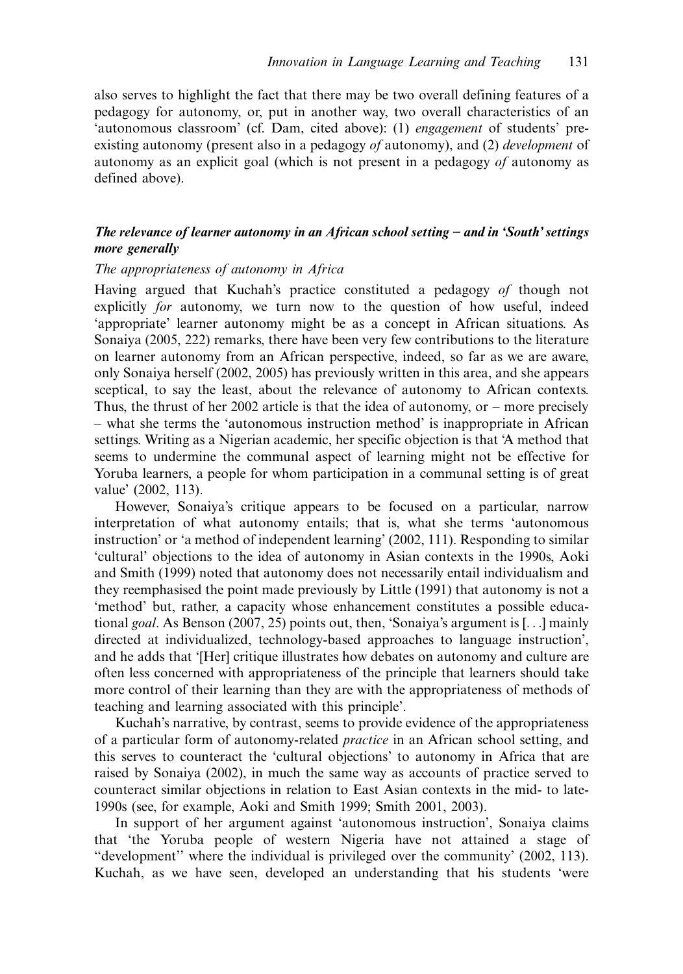also serves to highlight the fact that there may be two overall defining features of a pedagogy for autonomy, or, put in another way, two overall characteristics of an 'autonomous classroom' (cf. Dam, cited above): (1) engagement of students' preexisting autonomy (present also in a pedagogy of autonomy), and (2) development of autonomy as an explicit goal (which is not present in a pedagogy of autonomy as defined above).

# The relevance of learner autonomy in an African school setting  $-$  and in 'South' settings more generally

# The appropriateness of autonomy in Africa

Having argued that Kuchah's practice constituted a pedagogy of though not explicitly for autonomy, we turn now to the question of how useful, indeed 'appropriate' learner autonomy might be as a concept in African situations. As Sonaiya (2005, 222) remarks, there have been very few contributions to the literature on learner autonomy from an African perspective, indeed, so far as we are aware, only Sonaiya herself (2002, 2005) has previously written in this area, and she appears sceptical, to say the least, about the relevance of autonomy to African contexts. Thus, the thrust of her 2002 article is that the idea of autonomy, or  $-$  more precisely what she terms the 'autonomous instruction method' is inappropriate in African settings. Writing as a Nigerian academic, her specific objection is that 'A method that seems to undermine the communal aspect of learning might not be effective for Yoruba learners, a people for whom participation in a communal setting is of great value' (2002, 113).

However, Sonaiya's critique appears to be focused on a particular, narrow interpretation of what autonomy entails; that is, what she terms 'autonomous instruction' or 'a method of independent learning' (2002, 111). Responding to similar 'cultural' objections to the idea of autonomy in Asian contexts in the 1990s, Aoki and Smith (1999) noted that autonomy does not necessarily entail individualism and they reemphasised the point made previously by Little (1991) that autonomy is not a 'method' but, rather, a capacity whose enhancement constitutes a possible educational goal. As Benson (2007, 25) points out, then, 'Sonaiya's argument is [...] mainly directed at individualized, technology-based approaches to language instruction', and he adds that '[Her] critique illustrates how debates on autonomy and culture are often less concerned with appropriateness of the principle that learners should take more control of their learning than they are with the appropriateness of methods of teaching and learning associated with this principle'.

Kuchah's narrative, by contrast, seems to provide evidence of the appropriateness of a particular form of autonomy-related practice in an African school setting, and this serves to counteract the 'cultural objections' to autonomy in Africa that are raised by Sonaiya (2002), in much the same way as accounts of practice served to counteract similar objections in relation to East Asian contexts in the mid- to late-1990s (see, for example, Aoki and Smith 1999; Smith 2001, 2003).

In support of her argument against 'autonomous instruction', Sonaiya claims that 'the Yoruba people of western Nigeria have not attained a stage of "development" where the individual is privileged over the community' (2002, 113). Kuchah, as we have seen, developed an understanding that his students 'were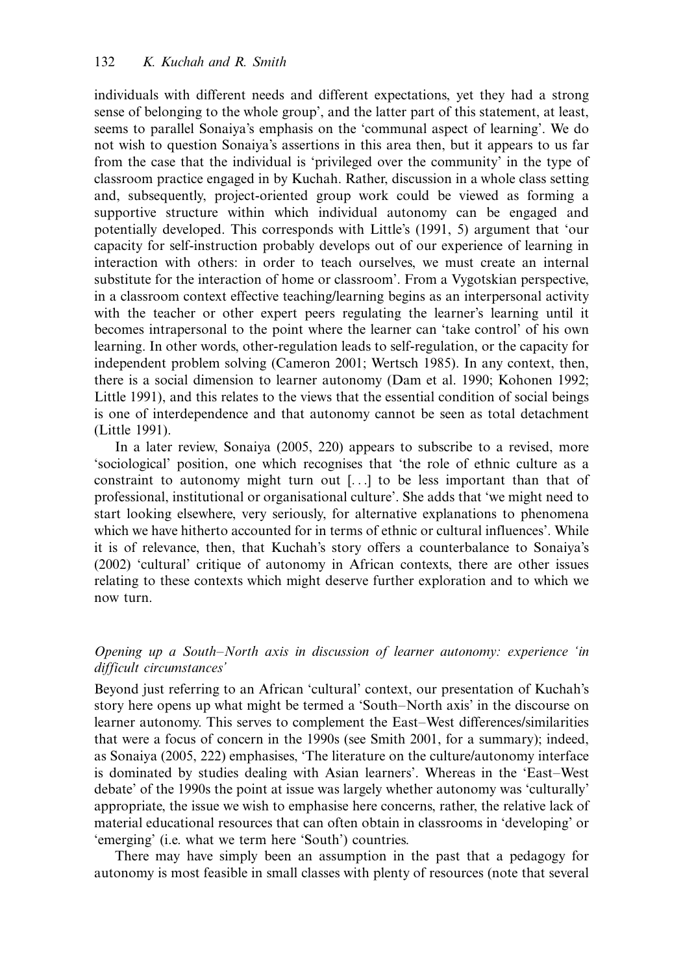individuals with different needs and different expectations, yet they had a strong sense of belonging to the whole group', and the latter part of this statement, at least, seems to parallel Sonaiya's emphasis on the 'communal aspect of learning'. We do not wish to question Sonaiya's assertions in this area then, but it appears to us far from the case that the individual is 'privileged over the community' in the type of classroom practice engaged in by Kuchah. Rather, discussion in a whole class setting and, subsequently, project-oriented group work could be viewed as forming a supportive structure within which individual autonomy can be engaged and potentially developed. This corresponds with Little's (1991, 5) argument that 'our capacity for self-instruction probably develops out of our experience of learning in interaction with others: in order to teach ourselves, we must create an internal substitute for the interaction of home or classroom'. From a Vygotskian perspective, in a classroom context effective teaching/learning begins as an interpersonal activity with the teacher or other expert peers regulating the learner's learning until it becomes intrapersonal to the point where the learner can 'take control' of his own learning. In other words, other-regulation leads to self-regulation, or the capacity for independent problem solving (Cameron 2001; Wertsch 1985). In any context, then, there is a social dimension to learner autonomy (Dam et al. 1990; Kohonen 1992; Little 1991), and this relates to the views that the essential condition of social beings is one of interdependence and that autonomy cannot be seen as total detachment (Little 1991).

In a later review, Sonaiya (2005, 220) appears to subscribe to a revised, more 'sociological' position, one which recognises that 'the role of ethnic culture as a constraint to autonomy might turn out [...] to be less important than that of professional, institutional or organisational culture'. She adds that 'we might need to start looking elsewhere, very seriously, for alternative explanations to phenomena which we have hitherto accounted for in terms of ethnic or cultural influences'. While it is of relevance, then, that Kuchah's story offers a counterbalance to Sonaiya's (2002) 'cultural' critique of autonomy in African contexts, there are other issues relating to these contexts which might deserve further exploration and to which we now turn.

# Opening up a South-North axis in discussion of learner autonomy: experience 'in difficult circumstances'

Beyond just referring to an African 'cultural' context, our presentation of Kuchah's story here opens up what might be termed a 'South-North axis' in the discourse on learner autonomy. This serves to complement the East-West differences/similarities that were a focus of concern in the 1990s (see Smith 2001, for a summary); indeed, as Sonaiya (2005, 222) emphasises, 'The literature on the culture/autonomy interface is dominated by studies dealing with Asian learners'. Whereas in the 'East-West debate' of the 1990s the point at issue was largely whether autonomy was 'culturally' appropriate, the issue we wish to emphasise here concerns, rather, the relative lack of material educational resources that can often obtain in classrooms in 'developing' or 'emerging' (i.e. what we term here 'South') countries.

There may have simply been an assumption in the past that a pedagogy for autonomy is most feasible in small classes with plenty of resources (note that several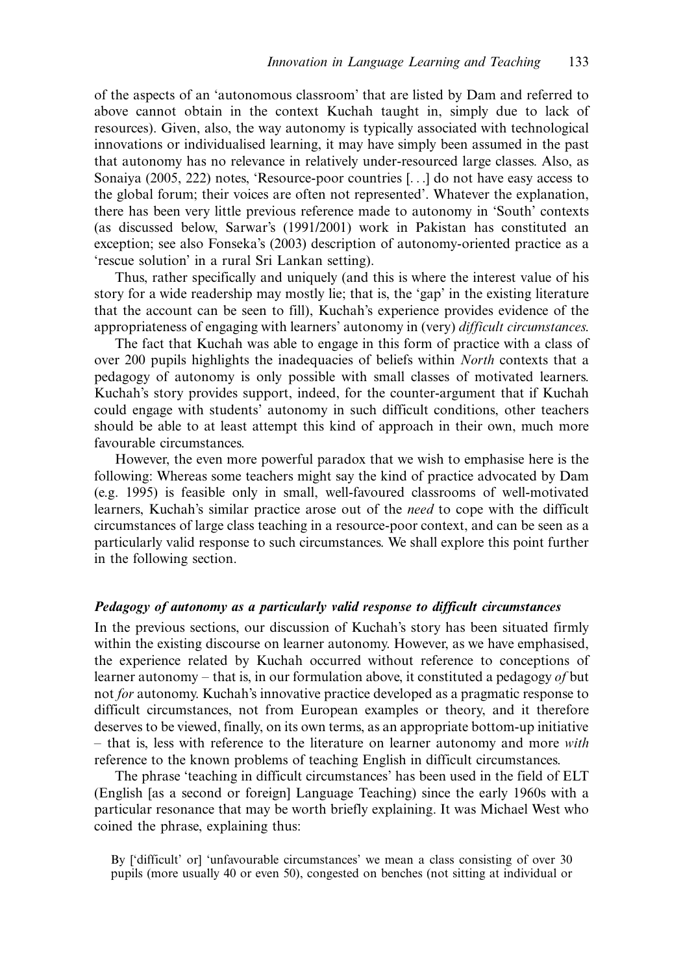of the aspects of an 'autonomous classroom' that are listed by Dam and referred to above cannot obtain in the context Kuchah taught in, simply due to lack of resources). Given, also, the way autonomy is typically associated with technological innovations or individualised learning, it may have simply been assumed in the past that autonomy has no relevance in relatively under-resourced large classes. Also, as Sonaiya (2005, 222) notes, 'Resource-poor countries [...] do not have easy access to the global forum; their voices are often not represented'. Whatever the explanation, there has been very little previous reference made to autonomy in 'South' contexts (as discussed below, Sarwar's (1991/2001) work in Pakistan has constituted an exception; see also Fonseka's (2003) description of autonomy-oriented practice as a 'rescue solution' in a rural Sri Lankan setting).

Thus, rather specifically and uniquely (and this is where the interest value of his story for a wide readership may mostly lie; that is, the 'gap' in the existing literature that the account can be seen to fill), Kuchah's experience provides evidence of the appropriateness of engaging with learners' autonomy in (very) difficult circumstances.

The fact that Kuchah was able to engage in this form of practice with a class of over 200 pupils highlights the inadequacies of beliefs within North contexts that a pedagogy of autonomy is only possible with small classes of motivated learners. Kuchah's story provides support, indeed, for the counter-argument that if Kuchah could engage with students' autonomy in such difficult conditions, other teachers should be able to at least attempt this kind of approach in their own, much more favourable circumstances.

However, the even more powerful paradox that we wish to emphasise here is the following: Whereas some teachers might say the kind of practice advocated by Dam (e.g. 1995) is feasible only in small, well-favoured classrooms of well-motivated learners, Kuchah's similar practice arose out of the need to cope with the difficult circumstances of large class teaching in a resource-poor context, and can be seen as a particularly valid response to such circumstances. We shall explore this point further in the following section.

#### Pedagogy of autonomy as a particularly valid response to difficult circumstances

In the previous sections, our discussion of Kuchah's story has been situated firmly within the existing discourse on learner autonomy. However, as we have emphasised, the experience related by Kuchah occurred without reference to conceptions of learner autonomy – that is, in our formulation above, it constituted a pedagogy of but not for autonomy. Kuchah's innovative practice developed as a pragmatic response to difficult circumstances, not from European examples or theory, and it therefore deserves to be viewed, finally, on its own terms, as an appropriate bottom-up initiative  $-$  that is, less with reference to the literature on learner autonomy and more with reference to the known problems of teaching English in difficult circumstances.

The phrase 'teaching in difficult circumstances' has been used in the field of ELT (English [as a second or foreign] Language Teaching) since the early 1960s with a particular resonance that may be worth briefly explaining. It was Michael West who coined the phrase, explaining thus:

By ['difficult' or] 'unfavourable circumstances' we mean a class consisting of over 30 pupils (more usually 40 or even 50), congested on benches (not sitting at individual or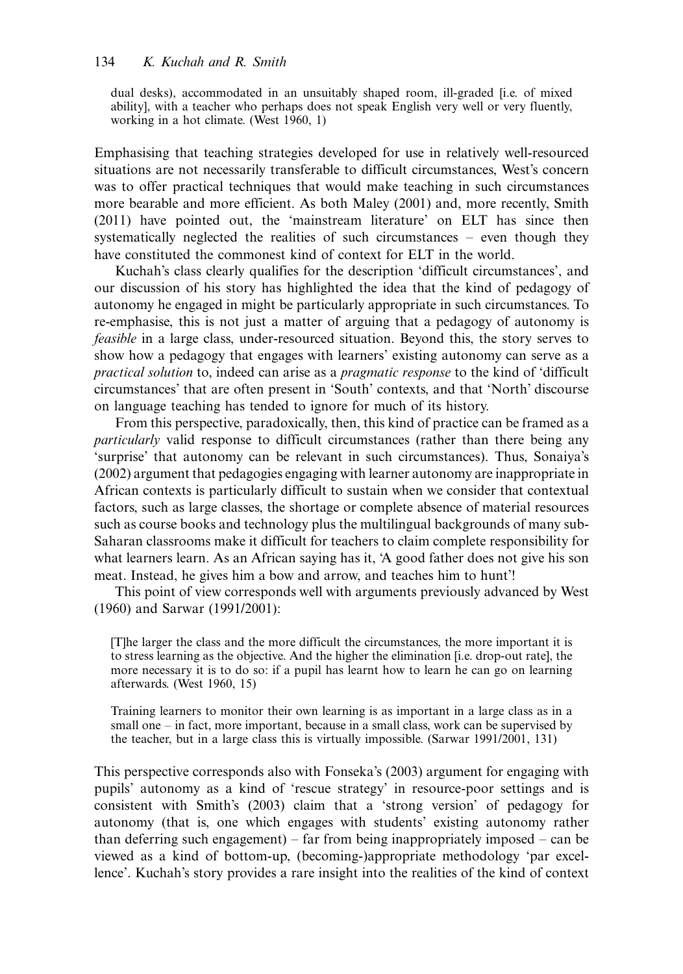dual desks), accommodated in an unsuitably shaped room, ill-graded [i.e. of mixed ability], with a teacher who perhaps does not speak English very well or very fluently, working in a hot climate. (West 1960, 1)

Emphasising that teaching strategies developed for use in relatively well-resourced situations are not necessarily transferable to difficult circumstances, West's concern was to offer practical techniques that would make teaching in such circumstances more bearable and more efficient. As both Maley (2001) and, more recently, Smith (2011) have pointed out, the 'mainstream literature' on ELT has since then systematically neglected the realities of such circumstances  $-$  even though they have constituted the commonest kind of context for ELT in the world.

Kuchah's class clearly qualifies for the description 'difficult circumstances', and our discussion of his story has highlighted the idea that the kind of pedagogy of autonomy he engaged in might be particularly appropriate in such circumstances. To re-emphasise, this is not just a matter of arguing that a pedagogy of autonomy is feasible in a large class, under-resourced situation. Beyond this, the story serves to show how a pedagogy that engages with learners' existing autonomy can serve as a practical solution to, indeed can arise as a pragmatic response to the kind of 'difficult circumstances' that are often present in 'South' contexts, and that 'North' discourse on language teaching has tended to ignore for much of its history.

From this perspective, paradoxically, then, this kind of practice can be framed as a particularly valid response to difficult circumstances (rather than there being any 'surprise' that autonomy can be relevant in such circumstances). Thus, Sonaiya's (2002) argument that pedagogies engaging with learner autonomy are inappropriate in African contexts is particularly difficult to sustain when we consider that contextual factors, such as large classes, the shortage or complete absence of material resources such as course books and technology plus the multilingual backgrounds of many sub-Saharan classrooms make it difficult for teachers to claim complete responsibility for what learners learn. As an African saying has it, 'A good father does not give his son meat. Instead, he gives him a bow and arrow, and teaches him to hunt'!

This point of view corresponds well with arguments previously advanced by West (1960) and Sarwar (1991/2001):

[T]he larger the class and the more difficult the circumstances, the more important it is to stress learning as the objective. And the higher the elimination [i.e. drop-out rate], the more necessary it is to do so: if a pupil has learnt how to learn he can go on learning afterwards. (West 1960, 15)

Training learners to monitor their own learning is as important in a large class as in a small one  $-$  in fact, more important, because in a small class, work can be supervised by the teacher, but in a large class this is virtually impossible. (Sarwar 1991/2001, 131)

This perspective corresponds also with Fonseka's (2003) argument for engaging with pupils' autonomy as a kind of 'rescue strategy' in resource-poor settings and is consistent with Smith's (2003) claim that a 'strong version' of pedagogy for autonomy (that is, one which engages with students' existing autonomy rather than deferring such engagement) – far from being inappropriately imposed  $-$  can be viewed as a kind of bottom-up, (becoming-)appropriate methodology 'par excellence'. Kuchah's story provides a rare insight into the realities of the kind of context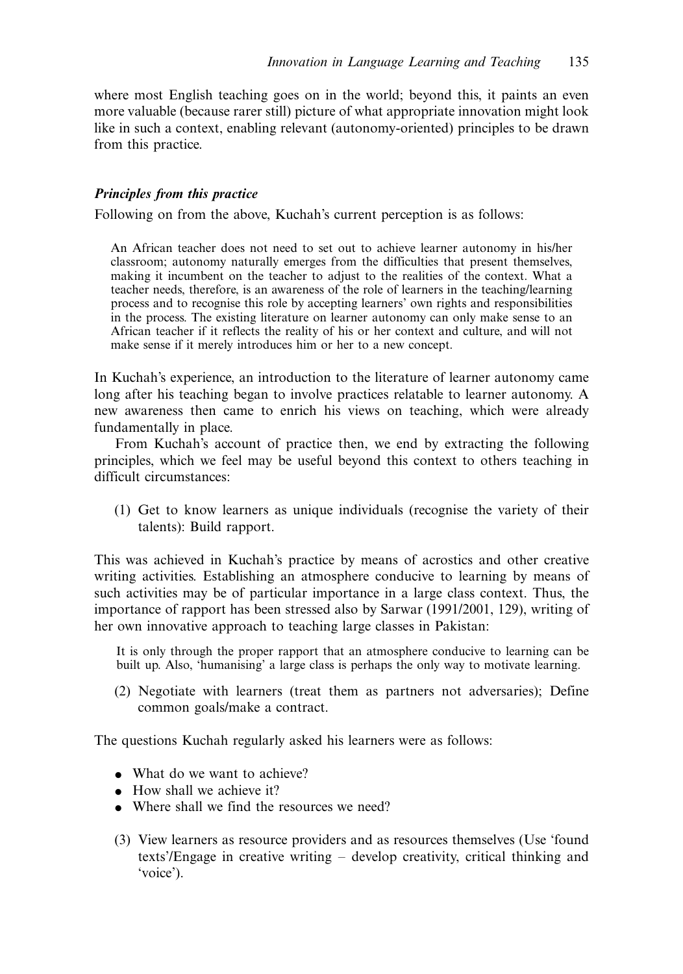where most English teaching goes on in the world; beyond this, it paints an even more valuable (because rarer still) picture of what appropriate innovation might look like in such a context, enabling relevant (autonomy-oriented) principles to be drawn from this practice.

# Principles from this practice

Following on from the above, Kuchah's current perception is as follows:

An African teacher does not need to set out to achieve learner autonomy in his/her classroom; autonomy naturally emerges from the difficulties that present themselves, making it incumbent on the teacher to adjust to the realities of the context. What a teacher needs, therefore, is an awareness of the role of learners in the teaching/learning process and to recognise this role by accepting learners' own rights and responsibilities in the process. The existing literature on learner autonomy can only make sense to an African teacher if it reflects the reality of his or her context and culture, and will not make sense if it merely introduces him or her to a new concept.

In Kuchah's experience, an introduction to the literature of learner autonomy came long after his teaching began to involve practices relatable to learner autonomy. A new awareness then came to enrich his views on teaching, which were already fundamentally in place.

From Kuchah's account of practice then, we end by extracting the following principles, which we feel may be useful beyond this context to others teaching in difficult circumstances:

(1) Get to know learners as unique individuals (recognise the variety of their talents): Build rapport.

This was achieved in Kuchah's practice by means of acrostics and other creative writing activities. Establishing an atmosphere conducive to learning by means of such activities may be of particular importance in a large class context. Thus, the importance of rapport has been stressed also by Sarwar (1991/2001, 129), writing of her own innovative approach to teaching large classes in Pakistan:

It is only through the proper rapport that an atmosphere conducive to learning can be built up. Also, 'humanising' a large class is perhaps the only way to motivate learning.

(2) Negotiate with learners (treat them as partners not adversaries); Define common goals/make a contract.

The questions Kuchah regularly asked his learners were as follows:

- What do we want to achieve?
- $\bullet$  How shall we achieve it?
- Where shall we find the resources we need?
- (3) View learners as resource providers and as resources themselves (Use 'found texts'/Engage in creative writing – develop creativity, critical thinking and 'voice').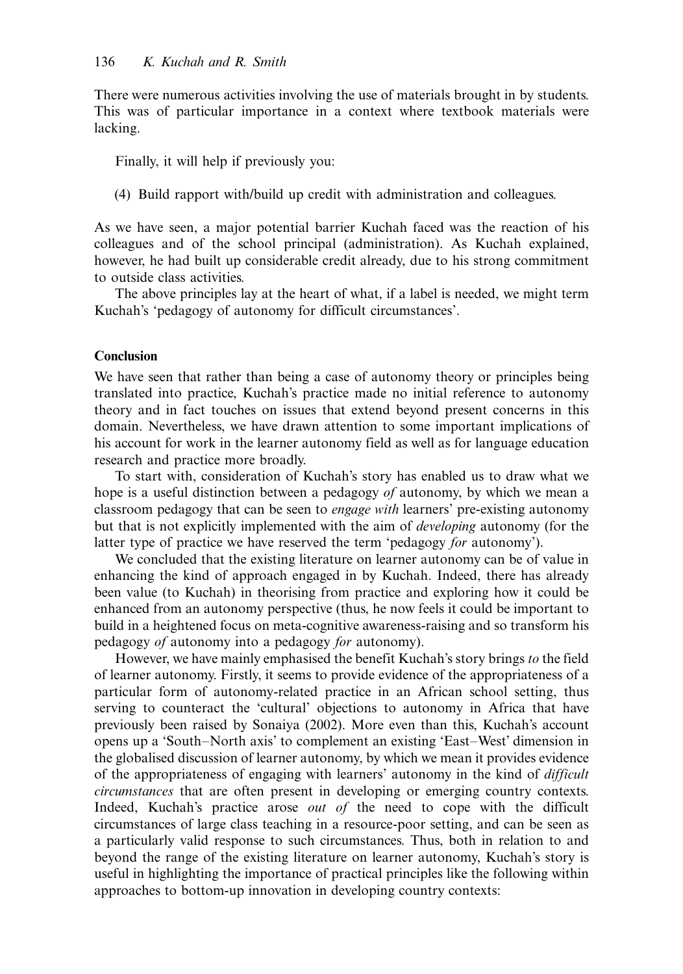There were numerous activities involving the use of materials brought in by students. This was of particular importance in a context where textbook materials were lacking.

Finally, it will help if previously you:

(4) Build rapport with/build up credit with administration and colleagues.

As we have seen, a major potential barrier Kuchah faced was the reaction of his colleagues and of the school principal (administration). As Kuchah explained, however, he had built up considerable credit already, due to his strong commitment to outside class activities.

The above principles lay at the heart of what, if a label is needed, we might term Kuchah's 'pedagogy of autonomy for difficult circumstances'.

#### Conclusion

We have seen that rather than being a case of autonomy theory or principles being translated into practice, Kuchah's practice made no initial reference to autonomy theory and in fact touches on issues that extend beyond present concerns in this domain. Nevertheless, we have drawn attention to some important implications of his account for work in the learner autonomy field as well as for language education research and practice more broadly.

To start with, consideration of Kuchah's story has enabled us to draw what we hope is a useful distinction between a pedagogy of autonomy, by which we mean a classroom pedagogy that can be seen to engage with learners' pre-existing autonomy but that is not explicitly implemented with the aim of developing autonomy (for the latter type of practice we have reserved the term 'pedagogy for autonomy').

We concluded that the existing literature on learner autonomy can be of value in enhancing the kind of approach engaged in by Kuchah. Indeed, there has already been value (to Kuchah) in theorising from practice and exploring how it could be enhanced from an autonomy perspective (thus, he now feels it could be important to build in a heightened focus on meta-cognitive awareness-raising and so transform his pedagogy of autonomy into a pedagogy for autonomy).

However, we have mainly emphasised the benefit Kuchah's story brings to the field of learner autonomy. Firstly, it seems to provide evidence of the appropriateness of a particular form of autonomy-related practice in an African school setting, thus serving to counteract the 'cultural' objections to autonomy in Africa that have previously been raised by Sonaiya (2002). More even than this, Kuchah's account opens up a 'South-North axis' to complement an existing 'East-West' dimension in the globalised discussion of learner autonomy, by which we mean it provides evidence of the appropriateness of engaging with learners' autonomy in the kind of difficult circumstances that are often present in developing or emerging country contexts. Indeed, Kuchah's practice arose out of the need to cope with the difficult circumstances of large class teaching in a resource-poor setting, and can be seen as a particularly valid response to such circumstances. Thus, both in relation to and beyond the range of the existing literature on learner autonomy, Kuchah's story is useful in highlighting the importance of practical principles like the following within approaches to bottom-up innovation in developing country contexts: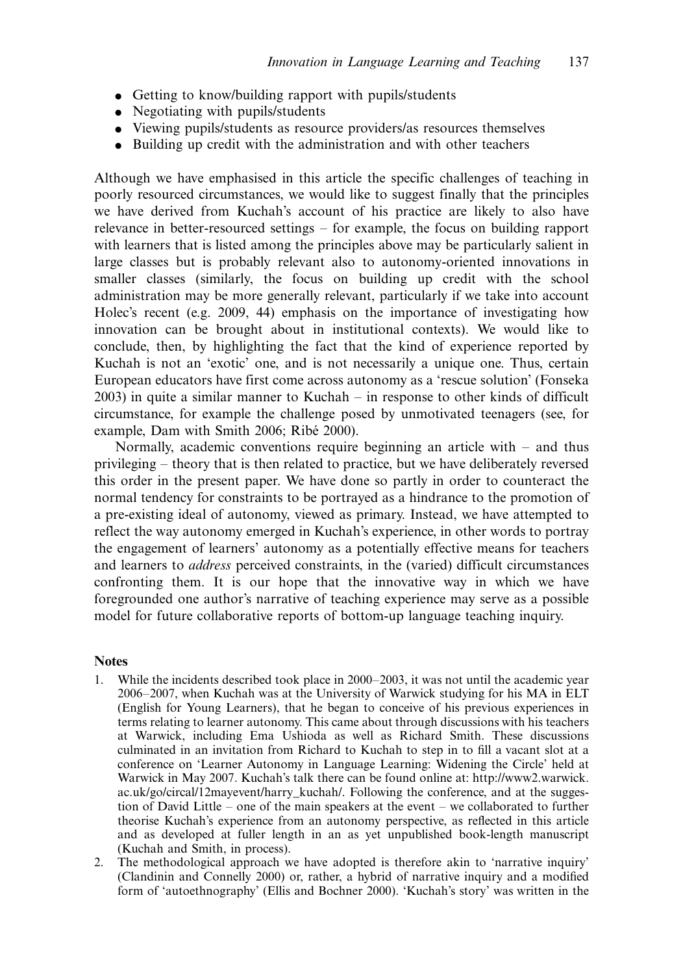- Getting to know/building rapport with pupils/students
- Negotiating with pupils/students
- Viewing pupils/students as resource providers/as resources themselves
- Building up credit with the administration and with other teachers

Although we have emphasised in this article the specific challenges of teaching in poorly resourced circumstances, we would like to suggest finally that the principles we have derived from Kuchah's account of his practice are likely to also have relevance in better-resourced settings  $-$  for example, the focus on building rapport with learners that is listed among the principles above may be particularly salient in large classes but is probably relevant also to autonomy-oriented innovations in smaller classes (similarly, the focus on building up credit with the school administration may be more generally relevant, particularly if we take into account Holec's recent (e.g. 2009, 44) emphasis on the importance of investigating how innovation can be brought about in institutional contexts). We would like to conclude, then, by highlighting the fact that the kind of experience reported by Kuchah is not an 'exotic' one, and is not necessarily a unique one. Thus, certain European educators have first come across autonomy as a 'rescue solution' (Fonseka  $2003$ ) in quite a similar manner to Kuchah  $-$  in response to other kinds of difficult circumstance, for example the challenge posed by unmotivated teenagers (see, for example, Dam with Smith 2006; Ribé 2000).

Normally, academic conventions require beginning an article with  $-$  and thus privileging  $-$  theory that is then related to practice, but we have deliberately reversed this order in the present paper. We have done so partly in order to counteract the normal tendency for constraints to be portrayed as a hindrance to the promotion of a pre-existing ideal of autonomy, viewed as primary. Instead, we have attempted to reflect the way autonomy emerged in Kuchah's experience, in other words to portray the engagement of learners' autonomy as a potentially effective means for teachers and learners to address perceived constraints, in the (varied) difficult circumstances confronting them. It is our hope that the innovative way in which we have foregrounded one author's narrative of teaching experience may serve as a possible model for future collaborative reports of bottom-up language teaching inquiry.

#### **Notes**

- 1. While the incidents described took place in  $2000-2003$ , it was not until the academic year 20062007, when Kuchah was at the University of Warwick studying for his MA in ELT (English for Young Learners), that he began to conceive of his previous experiences in terms relating to learner autonomy. This came about through discussions with his teachers at Warwick, including Ema Ushioda as well as Richard Smith. These discussions culminated in an invitation from Richard to Kuchah to step in to fill a vacant slot at a conference on 'Learner Autonomy in Language Learning: Widening the Circle' held at Warwick in May 2007. Kuchah's talk there can be found online at: [http://www2.warwick.](http://www2.warwick.ac.uk/go/circal/12mayevent/harry_kuchah/) [ac.uk/go/circal/12mayevent/harry\\_kuchah/.](http://www2.warwick.ac.uk/go/circal/12mayevent/harry_kuchah/) Following the conference, and at the suggestion of David Little  $-$  one of the main speakers at the event  $-$  we collaborated to further theorise Kuchah's experience from an autonomy perspective, as reflected in this article and as developed at fuller length in an as yet unpublished book-length manuscript (Kuchah and Smith, in process).
- 2. The methodological approach we have adopted is therefore akin to 'narrative inquiry' (Clandinin and Connelly 2000) or, rather, a hybrid of narrative inquiry and a modified form of 'autoethnography' (Ellis and Bochner 2000). 'Kuchah's story' was written in the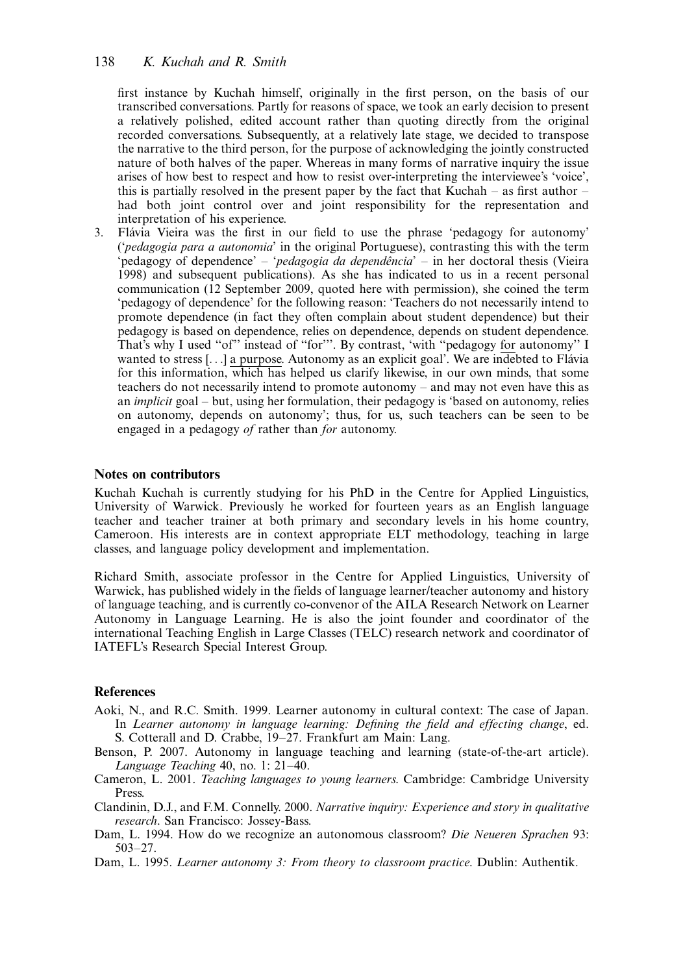first instance by Kuchah himself, originally in the first person, on the basis of our transcribed conversations. Partly for reasons of space, we took an early decision to present a relatively polished, edited account rather than quoting directly from the original recorded conversations. Subsequently, at a relatively late stage, we decided to transpose the narrative to the third person, for the purpose of acknowledging the jointly constructed nature of both halves of the paper. Whereas in many forms of narrative inquiry the issue arises of how best to respect and how to resist over-interpreting the interviewee's 'voice', this is partially resolved in the present paper by the fact that Kuchah  $-$  as first author  $$ had both joint control over and joint responsibility for the representation and interpretation of his experience.

3. Fla´via Vieira was the first in our field to use the phrase 'pedagogy for autonomy' ('pedagogia para a autonomia' in the original Portuguese), contrasting this with the term 'pedagogy of dependence' – 'pedagogia da dependência' – in her doctoral thesis (Vieira 1998) and subsequent publications). As she has indicated to us in a recent personal communication (12 September 2009, quoted here with permission), she coined the term 'pedagogy of dependence' for the following reason: 'Teachers do not necessarily intend to promote dependence (in fact they often complain about student dependence) but their pedagogy is based on dependence, relies on dependence, depends on student dependence. That's why I used "of" instead of "for"". By contrast, 'with "pedagogy for autonomy" I wanted to stress  $[\ldots]$  a purpose. Autonomy as an explicit goal'. We are indebted to Flávia for this information, which has helped us clarify likewise, in our own minds, that some teachers do not necessarily intend to promote autonomy  $-$  and may not even have this as an *implicit* goal - but, using her formulation, their pedagogy is 'based on autonomy, relies on autonomy, depends on autonomy'; thus, for us, such teachers can be seen to be engaged in a pedagogy of rather than for autonomy.

#### Notes on contributors

Kuchah Kuchah is currently studying for his PhD in the Centre for Applied Linguistics, University of Warwick. Previously he worked for fourteen years as an English language teacher and teacher trainer at both primary and secondary levels in his home country, Cameroon. His interests are in context appropriate ELT methodology, teaching in large classes, and language policy development and implementation.

Richard Smith, associate professor in the Centre for Applied Linguistics, University of Warwick, has published widely in the fields of language learner/teacher autonomy and history of language teaching, and is currently co-convenor of the AILA Research Network on Learner Autonomy in Language Learning. He is also the joint founder and coordinator of the international Teaching English in Large Classes (TELC) research network and coordinator of IATEFL's Research Special Interest Group.

#### **References**

- Aoki, N., and R.C. Smith. 1999. Learner autonomy in cultural context: The case of Japan. In Learner autonomy in language learning: Defining the field and effecting change, ed. S. Cotterall and D. Crabbe, 19-27. Frankfurt am Main: Lang.
- Benson, P. 2007. Autonomy in language teaching and learning (state-of-the-art article). Language Teaching  $40$ , no. 1: 21-40.
- Cameron, L. 2001. Teaching languages to young learners. Cambridge: Cambridge University Press.
- Clandinin, D.J., and F.M. Connelly. 2000. Narrative inquiry: Experience and story in qualitative research. San Francisco: Jossey-Bass.
- Dam, L. 1994. How do we recognize an autonomous classroom? Die Neueren Sprachen 93:  $503 - 27$ .
- Dam, L. 1995. Learner autonomy 3: From theory to classroom practice. Dublin: Authentik.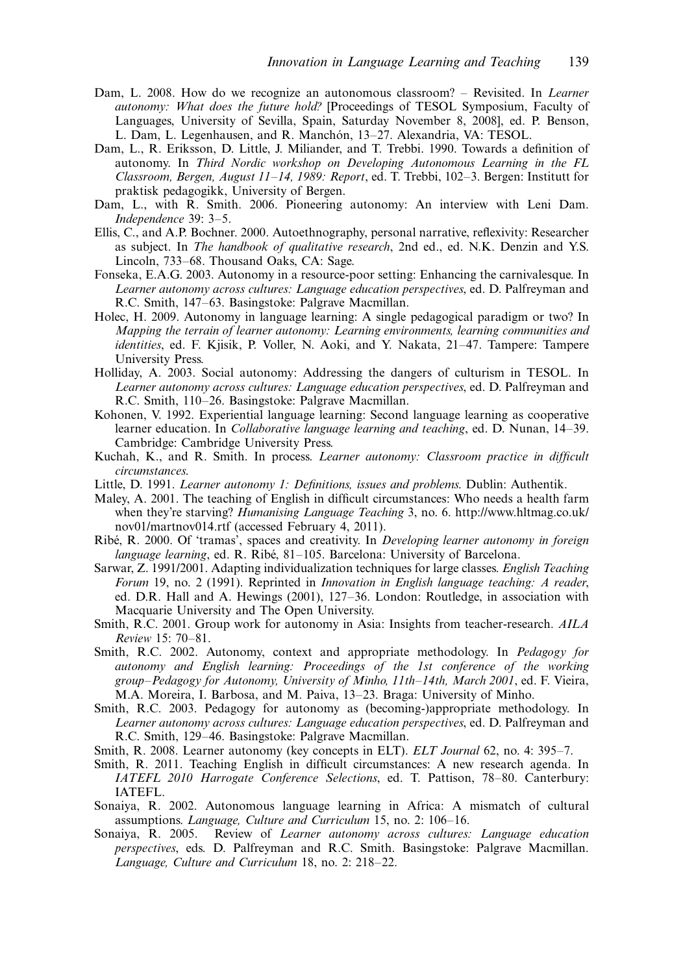- Dam, L. 2008. How do we recognize an autonomous classroom? Revisited. In Learner autonomy: What does the future hold? [Proceedings of TESOL Symposium, Faculty of Languages, University of Sevilla, Spain, Saturday November 8, 2008], ed. P. Benson, L. Dam, L. Legenhausen, and R. Manchón, 13-27. Alexandria, VA: TESOL.
- Dam, L., R. Eriksson, D. Little, J. Miliander, and T. Trebbi. 1990. Towards a definition of autonomy. In Third Nordic workshop on Developing Autonomous Learning in the FL Classroom, Bergen, August  $11-14$ , 1989; Report, ed. T. Trebbi, 102-3. Bergen: Institutt for praktisk pedagogikk, University of Bergen.
- Dam, L., with R. Smith. 2006. Pioneering autonomy: An interview with Leni Dam. Independence  $39: 3-5$ .
- Ellis, C., and A.P. Bochner. 2000. Autoethnography, personal narrative, reflexivity: Researcher as subject. In The handbook of qualitative research, 2nd ed., ed. N.K. Denzin and Y.S. Lincoln, 733–68. Thousand Oaks, CA: Sage.
- Fonseka, E.A.G. 2003. Autonomy in a resource-poor setting: Enhancing the carnivalesque. In Learner autonomy across cultures: Language education perspectives, ed. D. Palfreyman and R.C. Smith, 147–63. Basingstoke: Palgrave Macmillan.
- Holec, H. 2009. Autonomy in language learning: A single pedagogical paradigm or two? In Mapping the terrain of learner autonomy: Learning environments, learning communities and  $identities$ , ed. F. Kjisik, P. Voller, N. Aoki, and Y. Nakata,  $21-47$ . Tampere: Tampere University Press.
- Holliday, A. 2003. Social autonomy: Addressing the dangers of culturism in TESOL. In Learner autonomy across cultures: Language education perspectives, ed. D. Palfreyman and R.C. Smith, 110-26. Basingstoke: Palgrave Macmillan.
- Kohonen, V. 1992. Experiential language learning: Second language learning as cooperative learner education. In *Collaborative language learning and teaching*, ed. D. Nunan, 14–39. Cambridge: Cambridge University Press.
- Kuchah, K., and R. Smith. In process. Learner autonomy: Classroom practice in difficult circumstances.
- Little, D. 1991. Learner autonomy 1: Definitions, issues and problems. Dublin: Authentik.
- Maley, A. 2001. The teaching of English in difficult circumstances: Who needs a health farm when they're starving? *Humanising Language Teaching* 3, no. 6. [http://www.hltmag.co.uk/](http://www.hltmag.co.uk/nov01/martnov014.rtf) [nov01/martnov014.rtf](http://www.hltmag.co.uk/nov01/martnov014.rtf) (accessed February 4, 2011).
- Ribé, R. 2000. Of 'tramas', spaces and creativity. In *Developing learner autonomy in foreign* language learning, ed. R. Ribé, 81–105. Barcelona: University of Barcelona.
- Sarwar, Z. 1991/2001. Adapting individualization techniques for large classes. English Teaching Forum 19, no. 2 (1991). Reprinted in Innovation in English language teaching: A reader, ed. D.R. Hall and A. Hewings  $(2001)$ ,  $127-36$ . London: Routledge, in association with Macquarie University and The Open University.
- Smith, R.C. 2001. Group work for autonomy in Asia: Insights from teacher-research. AILA Review 15: 70-81.
- Smith, R.C. 2002. Autonomy, context and appropriate methodology. In Pedagogy for autonomy and English learning: Proceedings of the 1st conference of the working group-Pedagogy for Autonomy, University of Minho, 11th-14th, March 2001, ed. F. Vieira, M.A. Moreira, I. Barbosa, and M. Paiva, 13-23. Braga: University of Minho.
- Smith, R.C. 2003. Pedagogy for autonomy as (becoming-)appropriate methodology. In Learner autonomy across cultures: Language education perspectives, ed. D. Palfreyman and R.C. Smith, 129–46. Basingstoke: Palgrave Macmillan.
- Smith, R. 2008. Learner autonomy (key concepts in ELT). ELT Journal 62, no. 4: 395-7.
- Smith, R. 2011. Teaching English in difficult circumstances: A new research agenda. In IATEFL 2010 Harrogate Conference Selections, ed. T. Pattison, 78-80. Canterbury: IATEFL.
- Sonaiya, R. 2002. Autonomous language learning in Africa: A mismatch of cultural assumptions. Language, Culture and Curriculum 15, no. 2: 106–16.
- Sonaiya, R. 2005. Review of Learner autonomy across cultures: Language education perspectives, eds. D. Palfreyman and R.C. Smith. Basingstoke: Palgrave Macmillan. Language, Culture and Curriculum 18, no. 2: 218–22.